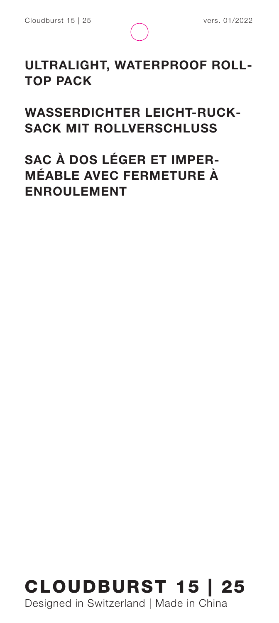

#### **ULTRALIGHT, WATERPROOF ROLL-TOP PACK**

**WASSERDICHTER LEICHT-RUCK-SACK MIT ROLLVERSCHLUSS**

**SAC À DOS LÉGER ET IMPER-MÉABLE AVEC FERMETURE À ENROULEMENT**



Designed in Switzerland | Made in China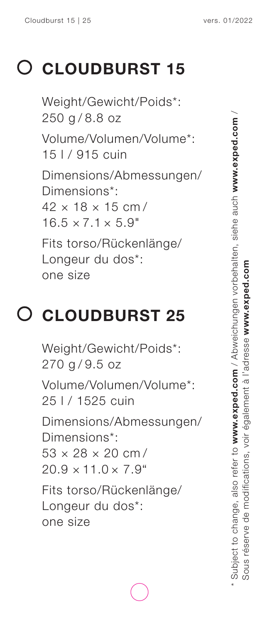#### **CLOUDBURST 15**

Weight/Gewicht/Poids\*: 250 g / 8.8 oz Volume/Volumen/Volume\*: 15 l / 915 cuin Dimensions/Abmessungen/ Dimensions\*:  $42 \times 18 \times 15$  cm /  $16.5 \times 7.1 \times 5.9$ " Fits torso/Rückenlänge/ Longeur du dos\*: one size

#### **CLOUDBURST 25**

Weight/Gewicht/Poids\*: 270 g / 9.5 oz Volume/Volumen/Volume\*: 25 l / 1525 cuin Dimensions/Abmessungen/ Dimensions\*: 53 × 28 × 20 cm /  $20.9 \times 11.0 \times 7.9$ " Fits torso/Rückenlänge/ Longeur du dos\*: one size

\* Subject to change, also refer to **www.exped.com** / Abweichungen vorbehalten, siehe auch **www.exped.com** / Subject to change, also refer to www.exped.com / Abweichungen vorbehalten, siehe auch www.exped.com Sous réserve de modifications, voir également à l'adresse **www.exped.com**  Sous réserve de modifications, voir également à l'adresse www.exped.com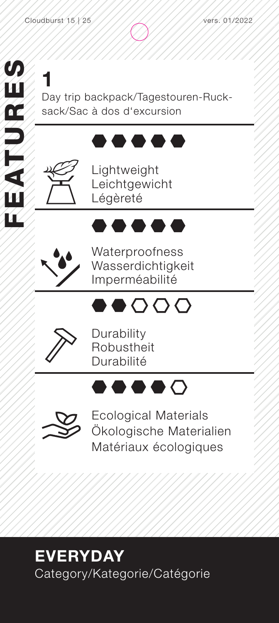**1** Day trip backpack/Tagestouren-Ruck sack/Sac à dos d'excursion

#### .....



Lightweight Leichtgewicht Légèreté



Waterproofness Wasserdichtigkeit Imperméabilité

 $\bullet$  .





Durability Robustheit Durabilité

### $\bullet\bullet\bullet\bullet\circ$



Ecological Materials Ökologische Materialien Matériaux écologiques

#### **EVERYDAY** Category/Kategorie/Catégorie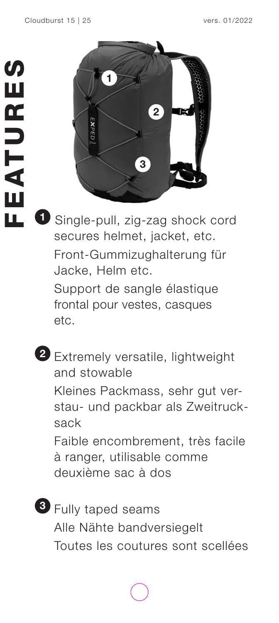

**1** Single-pull, zig-zag shock cord secures helmet, jacket, etc. Front-Gummizughalterung für Jacke, Helm etc.

Support de sangle élastique frontal pour vestes, casques etc.

**2** Extremely versatile, lightweight and stowable Kleines Packmass, sehr gut ver-

stau- und packbar als Zweitrucksack

Faible encombrement, très facile à ranger, utilisable comme deuxième sac à dos

**3** Fully taped seams Alle Nähte bandversiegelt Toutes les coutures sont scellées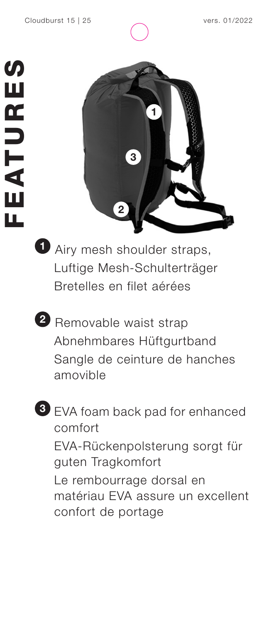





**1** Airy mesh shoulder straps, Luftige Mesh-Schulterträger Bretelles en filet aérées

**2** Removable waist strap Abnehmbares Hüftgurtband Sangle de ceinture de hanches amovible



**3** EVA foam back pad for enhanced comfort EVA-Rückenpolsterung sorgt für guten Tragkomfort Le rembourrage dorsal en matériau EVA assure un excellent confort de portage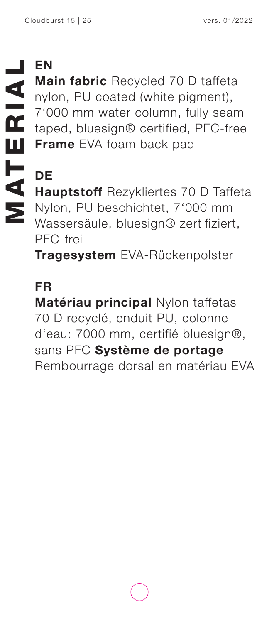**Main fabric** Recycled 70 D taffeta nylon, PU coated (white pigment), 7'000 mm water column, fully seam taped, bluesign® certified, PFC-free **Frame** EVA foam back pad

#### **DE Hauptstoff** Rezykliertes 70 D Taffeta Nylon, PU beschichtet, 7'000 mm Wassersäule, bluesign® zertifiziert, PFC-frei

**Tragesystem** EVA-Rückenpolster

#### **FR**

**Matériau principal** Nylon taffetas 70 D recyclé, enduit PU, colonne d'eau: 7000 mm, certifié bluesign®, sans PFC **Système de portage**  Rembourrage dorsal en matériau EVA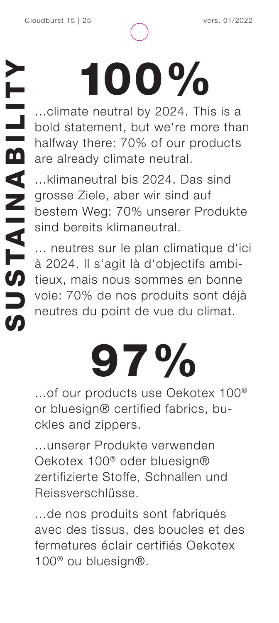# 100%

...climate neutral by 2024. This is a bold statement, but we're more than halfway there: 70% of our products are already climate neutral.

...klimaneutral bis 2024. Das sind grosse Ziele, aber wir sind auf bestem Weg: 70% unserer Produkte sind bereits klimaneutral.

... neutres sur le plan climatique d'ici à 2024. Il s'agit là d'objectifs ambitieux, mais nous sommes en bonne voie: 70% de nos produits sont déjà neutres du point de vue du climat. Supplementation Supplementation Supplementation Supplementation Supplementation Supplementation Supplementation Supplementation Supplementation Supplementation Supplementation Supplementation Supplementation Supplementatio

## 97%

...of our products use Oekotex 100® or bluesign® certified fabrics, buckles and zippers.

...unserer Produkte verwenden Oekotex 100® oder bluesign® zertifizierte Stoffe, Schnallen und Reissverschlüsse.

...de nos produits sont fabriqués avec des tissus, des boucles et des fermetures éclair certifiés Oekotex 100® ou bluesign®.